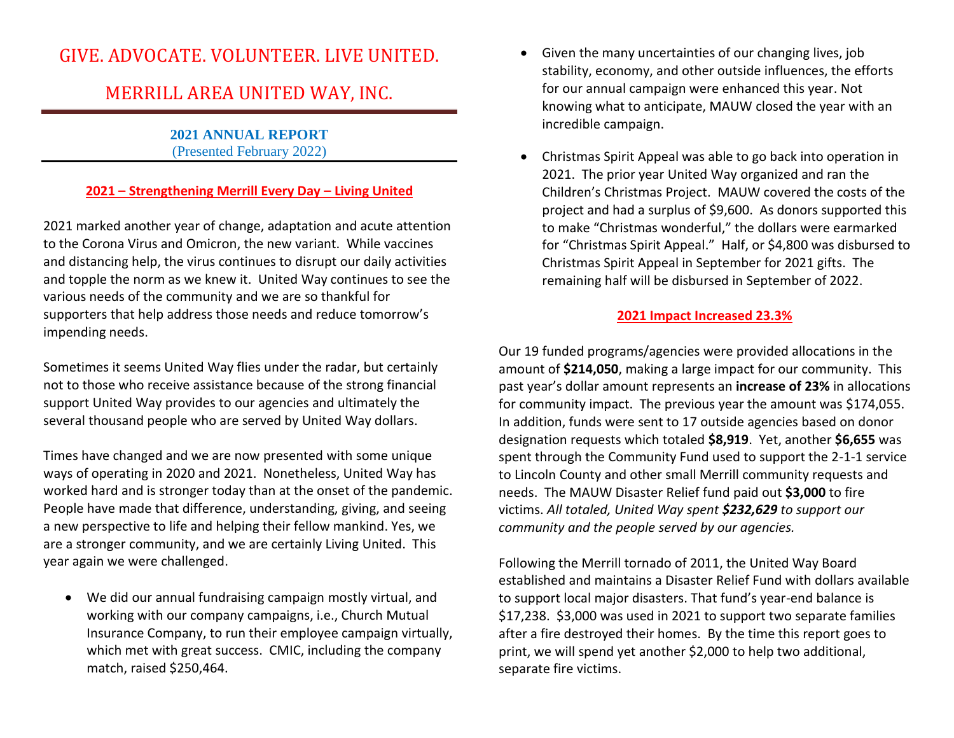# GIVE. ADVOCATE. VOLUNTEER. LIVE UNITED.

# MERRILL AREA UNITED WAY, INC.

**2021 ANNUAL REPORT** (Presented February 2022)

### **2021 – Strengthening Merrill Every Day – Living United**

2021 marked another year of change, adaptation and acute attention to the Corona Virus and Omicron, the new variant. While vaccines and distancing help, the virus continues to disrupt our daily activities and topple the norm as we knew it. United Way continues to see the various needs of the community and we are so thankful for supporters that help address those needs and reduce tomorrow's impending needs.

Sometimes it seems United Way flies under the radar, but certainly not to those who receive assistance because of the strong financial support United Way provides to our agencies and ultimately the several thousand people who are served by United Way dollars.

Times have changed and we are now presented with some unique ways of operating in 2020 and 2021. Nonetheless, United Way has worked hard and is stronger today than at the onset of the pandemic. People have made that difference, understanding, giving, and seeing a new perspective to life and helping their fellow mankind. Yes, we are a stronger community, and we are certainly Living United. This year again we were challenged.

• We did our annual fundraising campaign mostly virtual, and working with our company campaigns, i.e., Church Mutual Insurance Company, to run their employee campaign virtually, which met with great success. CMIC, including the company match, raised \$250,464.

- Given the many uncertainties of our changing lives, job stability, economy, and other outside influences, the efforts for our annual campaign were enhanced this year. Not knowing what to anticipate, MAUW closed the year with an incredible campaign.
- Christmas Spirit Appeal was able to go back into operation in 2021. The prior year United Way organized and ran the Children's Christmas Project. MAUW covered the costs of the project and had a surplus of \$9,600. As donors supported this to make "Christmas wonderful," the dollars were earmarked for "Christmas Spirit Appeal." Half, or \$4,800 was disbursed to Christmas Spirit Appeal in September for 2021 gifts. The remaining half will be disbursed in September of 2022.

#### **2021 Impact Increased 23.3%**

Our 19 funded programs/agencies were provided allocations in the amount of **\$214,050**, making a large impact for our community. This past year's dollar amount represents an **increase of 23%** in allocations for community impact. The previous year the amount was \$174,055. In addition, funds were sent to 17 outside agencies based on donor designation requests which totaled **\$8,919**. Yet, another **\$6,655** was spent through the Community Fund used to support the 2-1-1 service to Lincoln County and other small Merrill community requests and needs. The MAUW Disaster Relief fund paid out **\$3,000** to fire victims. *All totaled, United Way spent \$232,629 to support our community and the people served by our agencies.* 

Following the Merrill tornado of 2011, the United Way Board established and maintains a Disaster Relief Fund with dollars available to support local major disasters. That fund's year-end balance is \$17,238. \$3,000 was used in 2021 to support two separate families after a fire destroyed their homes. By the time this report goes to print, we will spend yet another \$2,000 to help two additional, separate fire victims.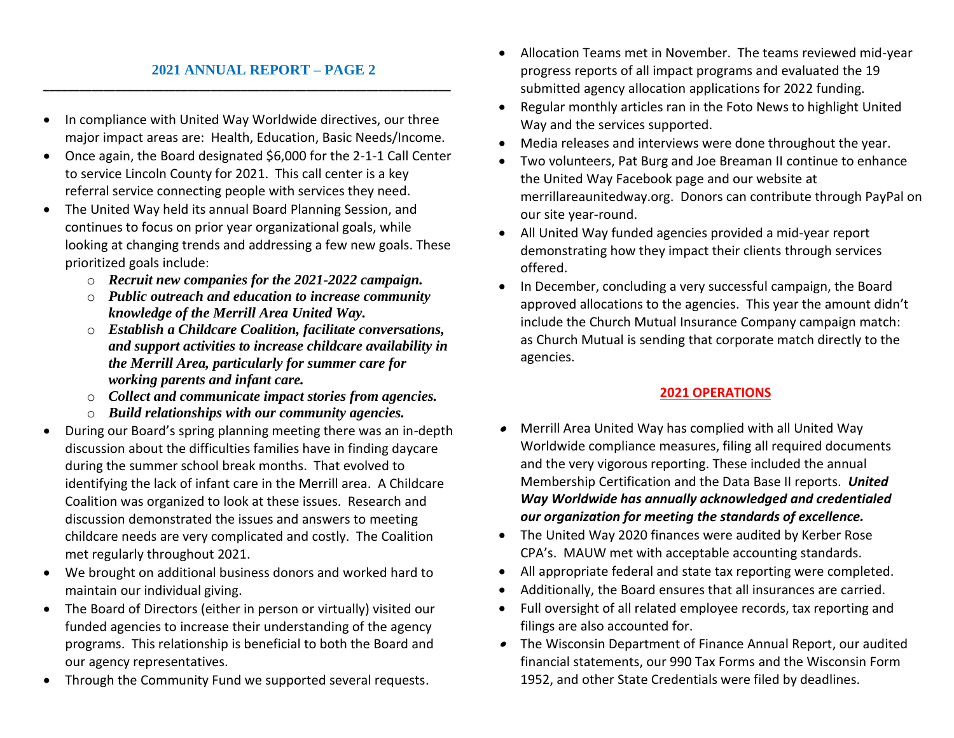## **2021 ANNUAL REPORT – PAGE 2**

• In compliance with United Way Worldwide directives, our three major impact areas are: Health, Education, Basic Needs/Income.

**\_\_\_\_\_\_\_\_\_\_\_\_\_\_\_\_\_\_\_\_\_\_\_\_\_\_\_\_\_\_\_\_\_\_\_\_\_\_\_\_\_\_\_\_\_\_\_\_\_\_\_\_\_\_\_\_\_\_\_\_\_\_\_\_\_\_\_\_**

- Once again, the Board designated \$6,000 for the 2-1-1 Call Center to service Lincoln County for 2021. This call center is a key referral service connecting people with services they need.
- The United Way held its annual Board Planning Session, and continues to focus on prior year organizational goals, while looking at changing trends and addressing a few new goals. These prioritized goals include:
	- o *Recruit new companies for the 2021-2022 campaign.*
	- o *Public outreach and education to increase community knowledge of the Merrill Area United Way.*
	- o *Establish a Childcare Coalition, facilitate conversations, and support activities to increase childcare availability in the Merrill Area, particularly for summer care for working parents and infant care.*
	- o *Collect and communicate impact stories from agencies.*
	- o *Build relationships with our community agencies.*
- During our Board's spring planning meeting there was an in-depth discussion about the difficulties families have in finding daycare during the summer school break months. That evolved to identifying the lack of infant care in the Merrill area. A Childcare Coalition was organized to look at these issues. Research and discussion demonstrated the issues and answers to meeting childcare needs are very complicated and costly. The Coalition met regularly throughout 2021.
- We brought on additional business donors and worked hard to maintain our individual giving.
- The Board of Directors (either in person or virtually) visited our funded agencies to increase their understanding of the agency programs. This relationship is beneficial to both the Board and our agency representatives.
- Through the Community Fund we supported several requests.
- Allocation Teams met in November. The teams reviewed mid-year progress reports of all impact programs and evaluated the 19 submitted agency allocation applications for 2022 funding.
- Regular monthly articles ran in the Foto News to highlight United Way and the services supported.
- Media releases and interviews were done throughout the year.
- Two volunteers, Pat Burg and Joe Breaman II continue to enhance the United Way Facebook page and our website at merrillareaunitedway.org. Donors can contribute through PayPal on our site year-round.
- All United Way funded agencies provided a mid-year report demonstrating how they impact their clients through services offered.
- In December, concluding a very successful campaign, the Board approved allocations to the agencies. This year the amount didn't include the Church Mutual Insurance Company campaign match: as Church Mutual is sending that corporate match directly to the agencies.

## **2021 OPERATIONS**

- • Merrill Area United Way has complied with all United Way Worldwide compliance measures, filing all required documents and the very vigorous reporting. These included the annual Membership Certification and the Data Base II reports. *United Way Worldwide has annually acknowledged and credentialed our organization for meeting the standards of excellence.*
- The United Way 2020 finances were audited by Kerber Rose CPA's. MAUW met with acceptable accounting standards.
- All appropriate federal and state tax reporting were completed.
- Additionally, the Board ensures that all insurances are carried.
- Full oversight of all related employee records, tax reporting and filings are also accounted for.
- The Wisconsin Department of Finance Annual Report, our audited financial statements, our 990 Tax Forms and the Wisconsin Form 1952, and other State Credentials were filed by deadlines.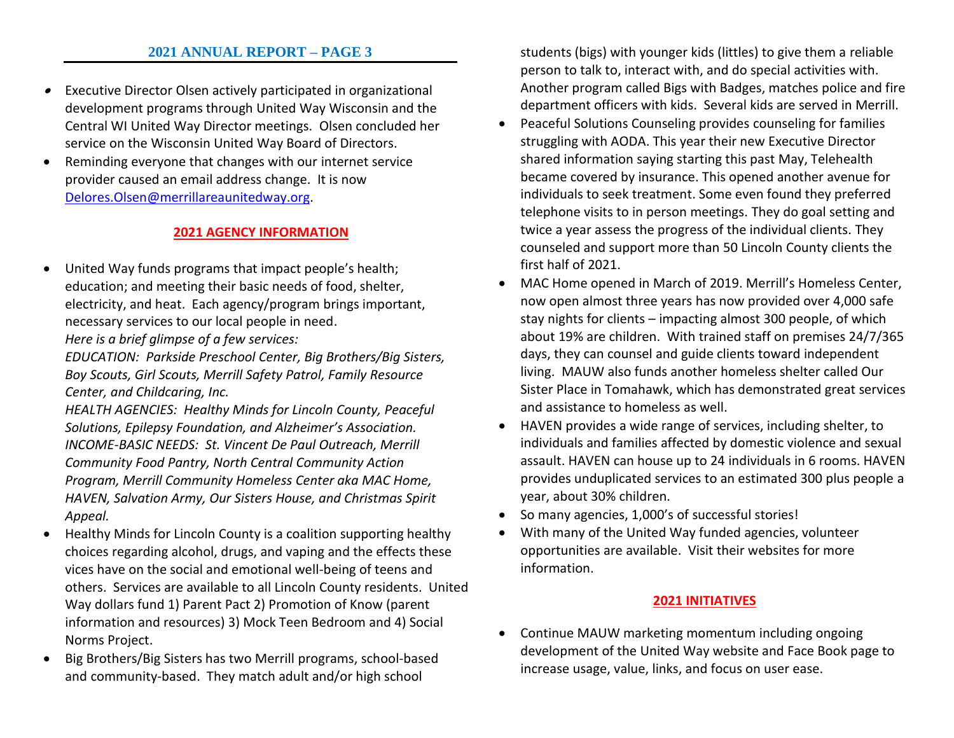#### **2021 ANNUAL REPORT – PAGE 3**

- • Executive Director Olsen actively participated in organizational development programs through United Way Wisconsin and the Central WI United Way Director meetings. Olsen concluded her service on the Wisconsin United Way Board of Directors.
- Reminding everyone that changes with our internet service provider caused an email address change. It is now [Delores.Olsen@merrillareaunitedway.org.](mailto:Delores.Olsen@merrillareaunitedway.org)

### **2021 AGENCY INFORMATION**

• United Way funds programs that impact people's health; education; and meeting their basic needs of food, shelter, electricity, and heat. Each agency/program brings important, necessary services to our local people in need.

*Here is a brief glimpse of a few services:*

*EDUCATION: Parkside Preschool Center, Big Brothers/Big Sisters, Boy Scouts, Girl Scouts, Merrill Safety Patrol, Family Resource Center, and Childcaring, Inc.*

*HEALTH AGENCIES: Healthy Minds for Lincoln County, Peaceful Solutions, Epilepsy Foundation, and Alzheimer's Association. INCOME-BASIC NEEDS: St. Vincent De Paul Outreach, Merrill Community Food Pantry, North Central Community Action Program, Merrill Community Homeless Center aka MAC Home, HAVEN, Salvation Army, Our Sisters House, and Christmas Spirit Appeal.*

- Healthy Minds for Lincoln County is a coalition supporting healthy choices regarding alcohol, drugs, and vaping and the effects these vices have on the social and emotional well-being of teens and others. Services are available to all Lincoln County residents. United Way dollars fund 1) Parent Pact 2) Promotion of Know (parent information and resources) 3) Mock Teen Bedroom and 4) Social Norms Project.
- Big Brothers/Big Sisters has two Merrill programs, school-based and community-based. They match adult and/or high school

students (bigs) with younger kids (littles) to give them a reliable person to talk to, interact with, and do special activities with. Another program called Bigs with Badges, matches police and fire department officers with kids. Several kids are served in Merrill.

- Peaceful Solutions Counseling provides counseling for families struggling with AODA. This year their new Executive Director shared information saying starting this past May, Telehealth became covered by insurance. This opened another avenue for individuals to seek treatment. Some even found they preferred telephone visits to in person meetings. They do goal setting and twice a year assess the progress of the individual clients. They counseled and support more than 50 Lincoln County clients the first half of 2021.
- MAC Home opened in March of 2019. Merrill's Homeless Center, now open almost three years has now provided over 4,000 safe stay nights for clients – impacting almost 300 people, of which about 19% are children. With trained staff on premises 24/7/365 days, they can counsel and guide clients toward independent living. MAUW also funds another homeless shelter called Our Sister Place in Tomahawk, which has demonstrated great services and assistance to homeless as well.
- HAVEN provides a wide range of services, including shelter, to individuals and families affected by domestic violence and sexual assault. HAVEN can house up to 24 individuals in 6 rooms. HAVEN provides unduplicated services to an estimated 300 plus people a year, about 30% children.
- So many agencies, 1,000's of successful stories!
- With many of the United Way funded agencies, volunteer opportunities are available. Visit their websites for more information.

#### **2021 INITIATIVES**

• Continue MAUW marketing momentum including ongoing development of the United Way website and Face Book page to increase usage, value, links, and focus on user ease.